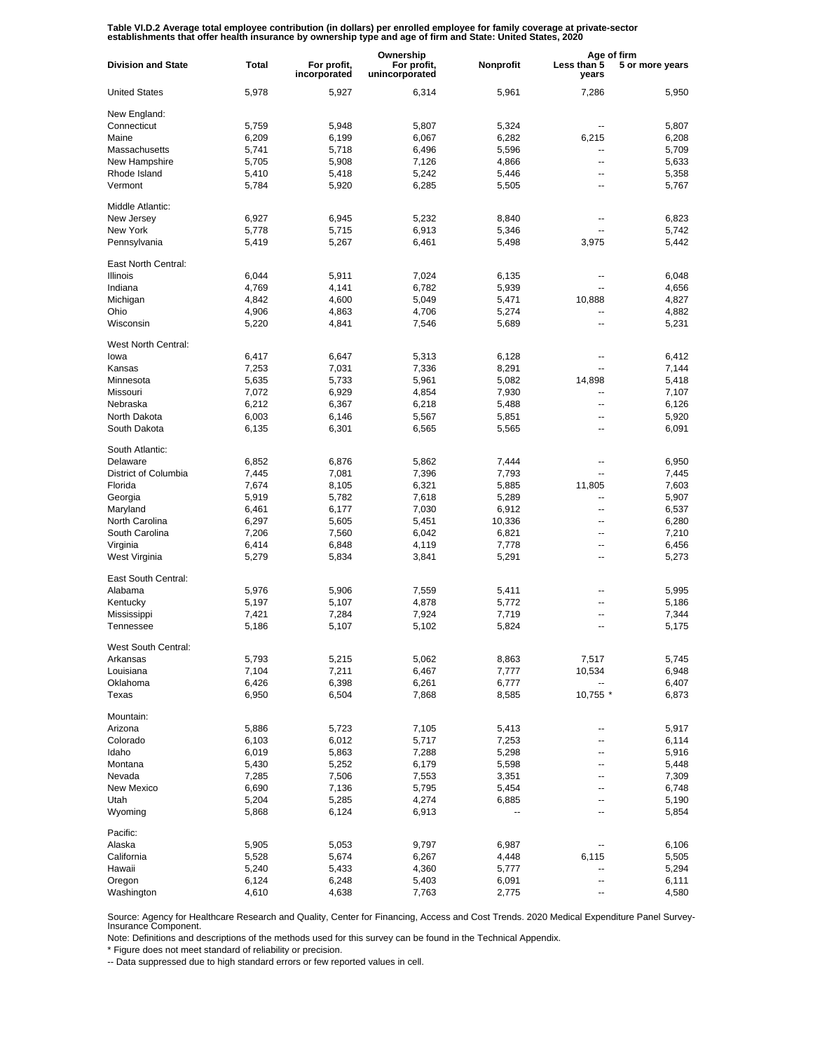Table VI.D.2 Average total employee contribution (in dollars) per enrolled employee for family coverage at private-sector<br>establishments that offer health insurance by ownership type and age of firm and State: United State

|                           |                |                             | Ownership                     |             |                      | Age of firm     |  |
|---------------------------|----------------|-----------------------------|-------------------------------|-------------|----------------------|-----------------|--|
| <b>Division and State</b> | Total          | For profit,<br>incorporated | For profit,<br>unincorporated | Nonprofit   | Less than 5<br>years | 5 or more years |  |
| <b>United States</b>      | 5,978          | 5,927                       | 6,314                         | 5,961       | 7,286                | 5,950           |  |
| New England:              |                |                             |                               |             |                      |                 |  |
| Connecticut               | 5,759          | 5,948                       | 5,807                         | 5,324       | --                   | 5,807           |  |
| Maine                     | 6,209          | 6,199                       | 6,067                         | 6,282       | 6,215                | 6,208           |  |
| Massachusetts             | 5,741          | 5,718                       | 6,496                         | 5,596       | --                   | 5,709           |  |
| New Hampshire             | 5,705          | 5,908                       | 7,126                         | 4,866       | --                   | 5,633           |  |
| Rhode Island              | 5,410          | 5,418                       | 5,242                         | 5,446       | --                   | 5,358           |  |
| Vermont                   | 5,784          | 5,920                       | 6,285                         | 5,505       | --                   | 5,767           |  |
| Middle Atlantic:          |                |                             |                               |             |                      |                 |  |
| New Jersey                | 6,927          | 6,945                       | 5,232                         | 8,840       | --                   | 6,823           |  |
| New York                  | 5,778          | 5,715                       | 6,913                         | 5,346       | --                   | 5,742           |  |
| Pennsylvania              | 5,419          | 5,267                       | 6,461                         | 5,498       | 3,975                | 5,442           |  |
| East North Central:       |                |                             |                               |             |                      |                 |  |
| <b>Illinois</b>           | 6,044          | 5,911                       | 7,024                         | 6,135       | --                   | 6,048           |  |
| Indiana                   | 4,769          | 4,141                       | 6,782                         | 5,939       | $\overline{a}$       | 4,656           |  |
| Michigan                  | 4,842          | 4,600                       | 5,049                         | 5,471       | 10,888               | 4,827           |  |
| Ohio                      | 4,906          | 4,863                       | 4,706                         | 5,274       | --                   | 4,882           |  |
| Wisconsin                 | 5,220          | 4,841                       | 7,546                         | 5,689       | --                   | 5,231           |  |
| West North Central:       |                |                             |                               |             |                      |                 |  |
| lowa                      | 6,417          | 6.647                       | 5,313                         | 6,128       | --                   | 6,412           |  |
| Kansas                    | 7,253          | 7,031                       | 7,336                         | 8,291       | --                   | 7,144           |  |
| Minnesota                 | 5,635          | 5,733                       | 5,961                         | 5,082       | 14,898               | 5,418           |  |
| Missouri                  | 7,072          | 6,929                       | 4,854                         | 7,930       | --                   | 7,107           |  |
| Nebraska                  | 6,212          | 6,367                       | 6,218                         | 5,488       | --                   | 6,126           |  |
| North Dakota              | 6,003          | 6,146                       | 5,567                         | 5,851       | --                   | 5,920           |  |
|                           |                |                             |                               |             |                      |                 |  |
| South Dakota              | 6,135          | 6,301                       | 6,565                         | 5,565       | --                   | 6,091           |  |
| South Atlantic:           |                |                             |                               |             |                      |                 |  |
| Delaware                  | 6,852          | 6,876                       | 5,862                         | 7,444       | --                   | 6,950           |  |
| District of Columbia      | 7,445          | 7,081                       | 7,396                         | 7,793       | --                   | 7,445           |  |
| Florida                   | 7,674          | 8,105                       | 6,321                         | 5,885       | 11,805               | 7,603           |  |
| Georgia                   | 5,919          | 5,782                       | 7,618                         | 5,289       | --                   | 5,907           |  |
| Maryland                  | 6,461          | 6,177                       | 7,030                         | 6,912       | --                   | 6,537           |  |
| North Carolina            | 6,297          | 5,605                       | 5,451                         | 10,336      | --                   | 6,280           |  |
| South Carolina            | 7,206          | 7,560                       | 6,042                         | 6,821       | --                   | 7,210           |  |
| Virginia                  | 6,414          | 6,848                       | 4,119                         | 7,778       | --                   | 6,456           |  |
| West Virginia             | 5,279          | 5,834                       | 3,841                         | 5,291       | --                   | 5,273           |  |
|                           |                |                             |                               |             |                      |                 |  |
| East South Central:       |                |                             |                               |             |                      |                 |  |
| Alabama                   | 5,976          | 5,906                       | 7,559                         | 5,411       | --                   | 5,995           |  |
| Kentucky                  | 5,197          | 5,107                       | 4,878                         | 5,772       | $\overline{a}$       | 5,186           |  |
| Mississippi               | 7,421          | 7,284                       | 7,924                         | 7,719       | --                   | 7,344           |  |
| Tennessee                 | 5,186          | 5,107                       | 5,102                         | 5,824       | $\overline{a}$       | 5,175           |  |
| West South Central:       |                |                             |                               |             |                      |                 |  |
| Arkansas                  | 5,793          | 5,215                       | 5,062                         | 8,863       | 7,517                | 5,745           |  |
| Louisiana                 | 7,104          | 7,211                       | 6,467                         | 7,777       | 10,534               | 6,948           |  |
| Oklahoma                  | 6,426          | 6,398                       | 6,261                         | 6,777       |                      | 6,407           |  |
| Texas                     | 6,950          | 6,504                       | 7,868                         | 8,585       | 10,755 *             | 6,873           |  |
| Mountain:                 |                |                             |                               |             |                      |                 |  |
| Arizona                   | 5,886          | 5,723                       | 7,105                         | 5,413       | --                   | 5,917           |  |
| Colorado                  | 6,103          | 6,012                       | 5,717                         | 7,253       | --                   | 6,114           |  |
| Idaho                     | 6,019          | 5,863                       | 7,288                         | 5,298       | --                   | 5,916           |  |
| Montana                   | 5,430          | 5,252                       | 6,179                         | 5,598       | --                   | 5,448           |  |
| Nevada                    | 7,285          | 7,506                       | 7,553                         | 3,351       | --                   | 7,309           |  |
| New Mexico                | 6,690          | 7,136                       | 5,795                         | 5,454       | --                   | 6,748           |  |
|                           |                |                             |                               |             |                      |                 |  |
| Utah<br>Wyoming           | 5,204<br>5,868 | 5,285<br>6,124              | 4,274<br>6,913                | 6,885<br>-- | ۰.<br>--             | 5,190<br>5,854  |  |
|                           |                |                             |                               |             |                      |                 |  |
| Pacific:                  |                |                             |                               |             |                      |                 |  |
| Alaska                    | 5,905          | 5,053                       | 9,797                         | 6,987       |                      | 6,106           |  |
| California                | 5,528          | 5,674                       | 6,267                         | 4,448       | 6,115                | 5,505           |  |
| Hawaii                    | 5,240          | 5,433                       | 4,360                         | 5,777       | -−                   | 5,294           |  |
| Oregon                    | 6,124          | 6,248                       | 5,403                         | 6,091       | --                   | 6,111           |  |
| Washington                | 4,610          | 4,638                       | 7,763                         | 2,775       | --                   | 4,580           |  |

Source: Agency for Healthcare Research and Quality, Center for Financing, Access and Cost Trends. 2020 Medical Expenditure Panel Survey-Insurance Component.

Note: Definitions and descriptions of the methods used for this survey can be found in the Technical Appendix.

\* Figure does not meet standard of reliability or precision.

-- Data suppressed due to high standard errors or few reported values in cell.